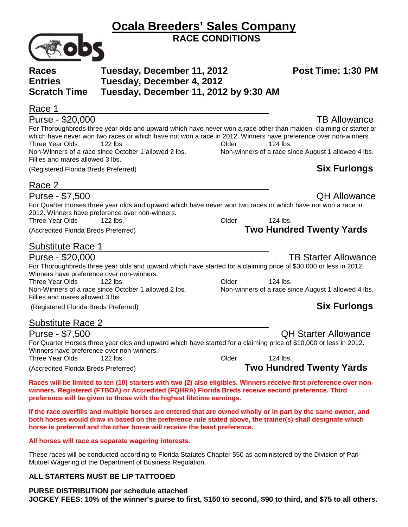|                                                                          |                                                                                                                                                                                                                                                                                                         | <b>RACE CONDITIONS</b> |                                                                                                                                           |  |  |
|--------------------------------------------------------------------------|---------------------------------------------------------------------------------------------------------------------------------------------------------------------------------------------------------------------------------------------------------------------------------------------------------|------------------------|-------------------------------------------------------------------------------------------------------------------------------------------|--|--|
| <b>Races</b><br>Tuesday, December 11, 2012                               |                                                                                                                                                                                                                                                                                                         |                        | Post Time: 1:30 PM                                                                                                                        |  |  |
| <b>Entries</b>                                                           | Tuesday, December 4, 2012                                                                                                                                                                                                                                                                               |                        |                                                                                                                                           |  |  |
| <b>Scratch Time</b>                                                      | Tuesday, December 11, 2012 by 9:30 AM                                                                                                                                                                                                                                                                   |                        |                                                                                                                                           |  |  |
| Race 1                                                                   |                                                                                                                                                                                                                                                                                                         |                        |                                                                                                                                           |  |  |
|                                                                          |                                                                                                                                                                                                                                                                                                         |                        |                                                                                                                                           |  |  |
| Purse - \$20,000                                                         | which have never won two races or which have not won a race in 2012. Winners have preference over non-winners.                                                                                                                                                                                          |                        | <b>TB Allowance</b><br>For Thoroughbreds three year olds and upward which have never won a race other than maiden, claiming or starter or |  |  |
| Three Year Olds                                                          | 122 lbs.<br>Non-Winners of a race since October 1 allowed 2 lbs.                                                                                                                                                                                                                                        | Older                  | 124 lbs.<br>Non-winners of a race since August 1 allowed 4 lbs.                                                                           |  |  |
| Fillies and mares allowed 3 lbs.<br>(Registered Florida Breds Preferred) |                                                                                                                                                                                                                                                                                                         |                        | <b>Six Furlongs</b>                                                                                                                       |  |  |
| Race 2                                                                   |                                                                                                                                                                                                                                                                                                         |                        |                                                                                                                                           |  |  |
| Purse - \$7,500                                                          |                                                                                                                                                                                                                                                                                                         |                        | <b>QH Allowance</b>                                                                                                                       |  |  |
|                                                                          | For Quarter Horses three year olds and upward which have never won two races or which have not won a race in<br>2012. Winners have preference over non-winners.                                                                                                                                         |                        |                                                                                                                                           |  |  |
| Three Year Olds                                                          | 122 lbs.                                                                                                                                                                                                                                                                                                | Older                  | 124 lbs.                                                                                                                                  |  |  |
| (Accredited Florida Breds Preferred)                                     |                                                                                                                                                                                                                                                                                                         |                        | <b>Two Hundred Twenty Yards</b>                                                                                                           |  |  |
| <b>Substitute Race 1</b>                                                 |                                                                                                                                                                                                                                                                                                         |                        |                                                                                                                                           |  |  |
| Purse - \$20,000                                                         |                                                                                                                                                                                                                                                                                                         |                        | <b>TB Starter Allowance</b>                                                                                                               |  |  |
| Winners have preference over non-winners.                                | For Thoroughbreds three year olds and upward which have started for a claiming price of \$30,000 or less in 2012.                                                                                                                                                                                       |                        |                                                                                                                                           |  |  |
| <b>Three Year Olds</b>                                                   | 122 lbs.                                                                                                                                                                                                                                                                                                | Older                  | 124 lbs.                                                                                                                                  |  |  |
| Fillies and mares allowed 3 lbs.                                         | Non-Winners of a race since October 1 allowed 2 lbs.                                                                                                                                                                                                                                                    |                        | Non-winners of a race since August 1 allowed 4 lbs.                                                                                       |  |  |
| (Registered Florida Breds Preferred)                                     |                                                                                                                                                                                                                                                                                                         |                        | <b>Six Furlongs</b>                                                                                                                       |  |  |
| <b>Substitute Race 2</b>                                                 |                                                                                                                                                                                                                                                                                                         |                        |                                                                                                                                           |  |  |
| Purse - \$7,500                                                          |                                                                                                                                                                                                                                                                                                         |                        | <b>QH Starter Allowance</b>                                                                                                               |  |  |
|                                                                          | For Quarter Horses three year olds and upward which have started for a claiming price of \$10,000 or less in 2012.                                                                                                                                                                                      |                        |                                                                                                                                           |  |  |
| Winners have preference over non-winners.                                |                                                                                                                                                                                                                                                                                                         |                        |                                                                                                                                           |  |  |
| <b>Three Year Olds</b>                                                   | 122 lbs.                                                                                                                                                                                                                                                                                                | Older                  | 124 lbs.                                                                                                                                  |  |  |
| (Accredited Florida Breds Preferred)                                     |                                                                                                                                                                                                                                                                                                         |                        | <b>Two Hundred Twenty Yards</b>                                                                                                           |  |  |
|                                                                          | winners. Registered (FTBOA) or Accredited (FQHRA) Florida Breds receive second preference. Third<br>preference will be given to those with the highest lifetime earnings.                                                                                                                               |                        | Races will be limited to ten (10) starters with two (2) also eligibles. Winners receive first preference over non-                        |  |  |
|                                                                          | If the race overfills and multiple horses are entered that are owned wholly or in part by the same owner, and<br>both horses would draw in based on the preference rule stated above, the trainer(s) shall designate which<br>horse is preferred and the other horse will receive the least preference. |                        |                                                                                                                                           |  |  |

**Ocala Breeders' Sales Company**

## **All horses will race as separate wagering interests.**

These races will be conducted according to Florida Statutes Chapter 550 as administered by the Division of Pari-Mutuel Wagering of the Department of Business Regulation.

## **ALL STARTERS MUST BE LIP TATTOOED**

**PURSE DISTRIBUTION per schedule attached JOCKEY FEES: 10% of the winner's purse to first, \$150 to second, \$90 to third, and \$75 to all others.**